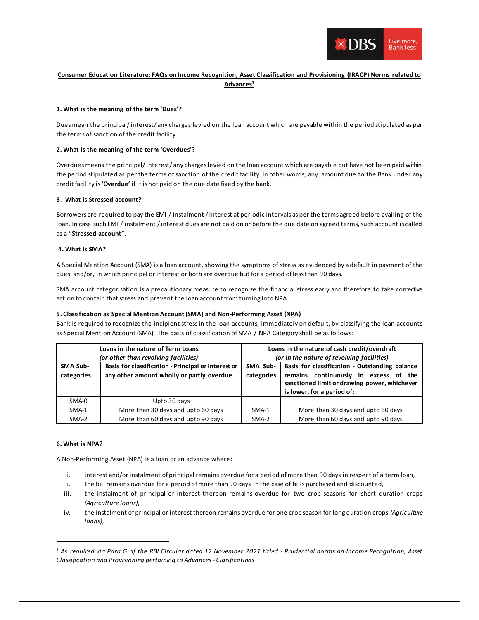

# **Consumer Education Literature: FAQs on Income Recognition, Asset Classification and Provisioning (IRACP) Norms related to Advances<sup>1</sup>**

### **1. What is the meaning of the term 'Dues'?**

Dues mean the principal/ interest/ any charges levied on the loan account which are payable within the period stipulated as per the terms of sanction of the credit facility.

## **2. What is the meaning of the term 'Overdues'?**

Overduesmeans the principal/ interest/ any charges levied on the loan account which are payable but have not been paid within the period stipulated as per the terms of sanction of the credit facility. In other words, any amount due to the Bank under any credit facility is **'Overdue'** if it is not paid on the due date fixed by the bank.

### **3**. **What is Stressed account?**

Borrowers are required to pay the EMI / instalment /interest at periodic intervals as per the terms agreed before availing of the loan. In case such EMI / instalment /interest dues are not paid on or before the due date on agreed terms, such account is called as a "**Stressed account**".

### **4. What is SMA?**

A Special Mention Account (SMA) is a loan account, showing the symptoms of stress as evidenced by a default in payment of the dues, and/or, in which principal or interest or both are overdue but for a period of less than 90 days.

SMA account categorisation is a precautionary measure to recognize the financial stress early and therefore to take corrective action to contain that stress and prevent the loan account from turning into NPA.

# **5. Classification as Special Mention Account (SMA) and Non-Performing Asset (NPA)**

Bank is required to recognize the incipient stress in the loan accounts, immediately on default, by classifying the loan accounts as Special Mention Account (SMA). The basis of classification of SMA / NPA Category shall be as follows:

|                               | Loans in the nature of Term Loans<br>(or other than revolving facilities)                        | Loans in the nature of cash credit/overdraft<br>(or in the nature of revolving facilities) |                                                                                                                                                                       |  |
|-------------------------------|--------------------------------------------------------------------------------------------------|--------------------------------------------------------------------------------------------|-----------------------------------------------------------------------------------------------------------------------------------------------------------------------|--|
| <b>SMA Sub-</b><br>categories | Basis for classification - Principal or interest or<br>any other amount wholly or partly overdue | SMA Sub-<br>categories                                                                     | Basis for classification - Outstanding balance<br>remains continuously in excess of the<br>sanctioned limit or drawing power, whichever<br>is lower, for a period of: |  |
| SMA-0                         | Upto 30 days                                                                                     |                                                                                            |                                                                                                                                                                       |  |
| $SMA-1$                       | More than 30 days and upto 60 days                                                               | SMA-1                                                                                      | More than 30 days and upto 60 days                                                                                                                                    |  |
| SMA-2                         | More than 60 days and upto 90 days                                                               | SMA-2                                                                                      | More than 60 days and upto 90 days                                                                                                                                    |  |

### **6. What is NPA?**

A Non-Performing Asset (NPA) is a loan or an advance where:

- i. interest and/or instalment of principal remains overdue for a period of more than 90 days in respect of a term loan,
- ii. the bill remains overdue for a period of more than 90 days in the case of bills purchased and discounted,
- iii. the instalment of principal or interest thereon remains overdue for two crop seasons for short duration crops *(Agriculture loans)*,
- iv. the instalment of principal or interest thereon remains overdue for one crop season for long duration crops *(Agriculture loans)*,

<sup>1</sup> *As required via Para G of the RBI Circular dated 12 November 2021 titled - Prudential norms on Income Recognition, Asset Classification and Provisioning pertaining to Advances - Clarifications*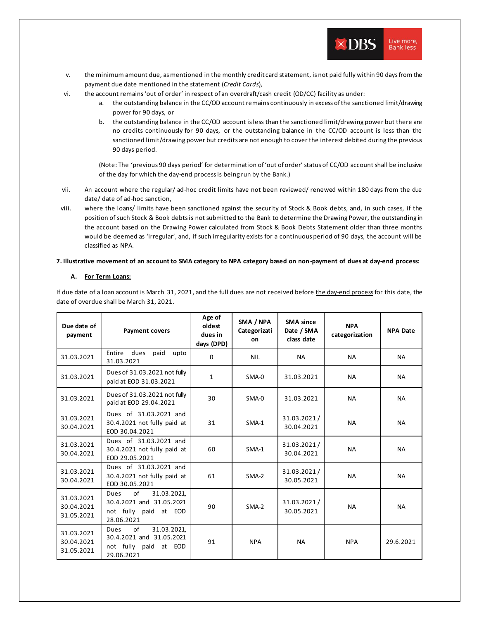

- v. the minimum amount due, as mentioned in the monthly credit card statement, is not paid fully within 90 days from the payment due date mentioned in the statement (*Credit Cards*),
- vi. the account remains 'out of order' in respect of an overdraft/cash credit (OD/CC) facility as under:
	- a. the outstanding balance in the CC/OD account remains continuously in excess of the sanctioned limit/drawing power for 90 days, or
	- b. the outstanding balance in the CC/OD account is less than the sanctioned limit/drawing power but there are no credits continuously for 90 days, or the outstanding balance in the CC/OD account is less than the sanctioned limit/drawing power but credits are not enough to cover the interest debited during the previous 90 days period.

(Note: The 'previous 90 days period' for determination of 'out of order' status of CC/OD account shall be inclusive of the day for which the day-end process is being run by the Bank.)

- vii. An account where the regular/ ad-hoc credit limits have not been reviewed/ renewed within 180 days from the due date/ date of ad-hoc sanction,
- viii. where the loans/ limits have been sanctioned against the security of Stock & Book debts, and, in such cases, if the position of such Stock & Book debts is not submitted to the Bank to determine the Drawing Power, the outstanding in the account based on the Drawing Power calculated from Stock & Book Debts Statement older than three months would be deemed as 'irregular', and, if such irregularity exists for a continuous period of 90 days, the account will be classified as NPA.

### **7. Illustrative movement of an account to SMA category to NPA category based on non-payment of dues at day-end process:**

## **A. For Term Loans:**

If due date of a loan account is March 31, 2021, and the full dues are not received before the day-end process for this date, the date of overdue shall be March 31, 2021.

| Due date of<br>payment                 | <b>Payment covers</b>                                                                               | Age of<br>oldest<br>dues in<br>days (DPD) | SMA / NPA<br>Categorizati<br><b>on</b> | <b>SMA</b> since<br>Date / SMA<br>class date | <b>NPA</b><br>categorization | <b>NPA Date</b> |
|----------------------------------------|-----------------------------------------------------------------------------------------------------|-------------------------------------------|----------------------------------------|----------------------------------------------|------------------------------|-----------------|
| 31.03.2021                             | Entire<br>dues<br>paid<br>upto<br>31.03.2021                                                        | $\Omega$                                  | <b>NIL</b>                             | <b>NA</b>                                    | <b>NA</b>                    | <b>NA</b>       |
| 31.03.2021                             | Dues of 31.03.2021 not fully<br>paid at EOD 31.03.2021                                              | $\mathbf{1}$                              | SMA-0                                  | 31.03.2021                                   | <b>NA</b>                    | <b>NA</b>       |
| 31.03.2021                             | Dues of 31.03.2021 not fully<br>paid at EOD 29.04.2021                                              | 30                                        | SMA-0                                  | 31.03.2021                                   | <b>NA</b>                    | <b>NA</b>       |
| 31.03.2021<br>30.04.2021               | Dues of 31.03.2021 and<br>30.4.2021 not fully paid at<br>EOD 30.04.2021                             | 31                                        | $SMA-1$                                | 31.03.2021/<br>30.04.2021                    | <b>NA</b>                    | <b>NA</b>       |
| 31.03.2021<br>30.04.2021               | Dues of 31.03.2021 and<br>30.4.2021 not fully paid at<br>EOD 29.05.2021                             | 60                                        | SMA-1                                  | 31.03.2021/<br>30.04.2021                    | <b>NA</b>                    | <b>NA</b>       |
| 31.03.2021<br>30.04.2021               | Dues of 31.03.2021 and<br>30.4.2021 not fully paid at<br>EOD 30.05.2021                             | 61                                        | SMA-2                                  | 31.03.2021/<br>30.05.2021                    | <b>NA</b>                    | <b>NA</b>       |
| 31.03.2021<br>30.04.2021<br>31.05.2021 | of<br><b>Dues</b><br>31.03.2021,<br>30.4.2021 and 31.05.2021<br>not fully paid at EOD<br>28.06.2021 | 90                                        | $SMA-2$                                | 31.03.2021/<br>30.05.2021                    | <b>NA</b>                    | <b>NA</b>       |
| 31.03.2021<br>30.04.2021<br>31.05.2021 | of<br>31.03.2021,<br><b>Dues</b><br>30.4.2021 and 31.05.2021<br>not fully paid at EOD<br>29.06.2021 | 91                                        | <b>NPA</b>                             | <b>NA</b>                                    | <b>NPA</b>                   | 29.6.2021       |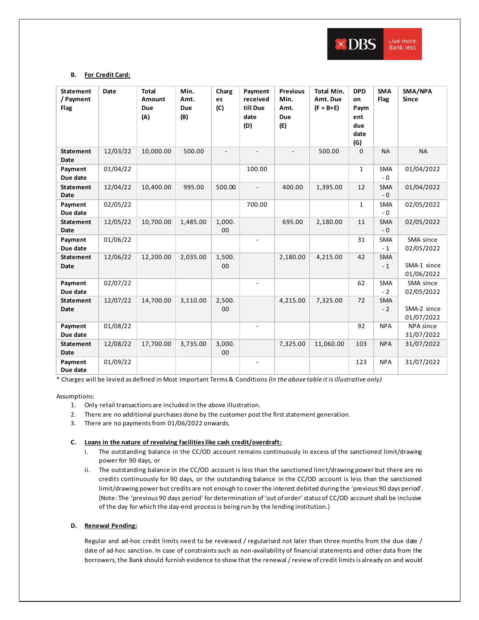

## **B. For Credit Card:**

| <b>Statement</b><br>/ Payment<br>Flag | Date     | <b>Total</b><br>Amount<br><b>Due</b><br>(A) | Min.<br>Amt.<br><b>Due</b><br>(B) | Charg<br>es<br>(C) | Payment<br>received<br>till Due<br>date<br>(D) | <b>Previous</b><br>Min.<br>Amt.<br><b>Due</b><br>(E) | <b>Total Min.</b><br>Amt. Due<br>$(F = B + E)$ | <b>DPD</b><br>on<br>Paym<br>ent<br>due<br>date<br>(G) | <b>SMA</b><br>Flag | SMA/NPA<br><b>Since</b>   |
|---------------------------------------|----------|---------------------------------------------|-----------------------------------|--------------------|------------------------------------------------|------------------------------------------------------|------------------------------------------------|-------------------------------------------------------|--------------------|---------------------------|
| <b>Statement</b><br><b>Date</b>       | 12/03/22 | 10,000.00                                   | 500.00                            |                    |                                                |                                                      | 500.00                                         | $\mathbf 0$                                           | <b>NA</b>          | <b>NA</b>                 |
| Payment<br>Due date                   | 01/04/22 |                                             |                                   |                    | 100.00                                         |                                                      |                                                | $\mathbf{1}$                                          | SMA<br>$-0$        | 01/04/2022                |
| <b>Statement</b><br><b>Date</b>       | 12/04/22 | 10,400.00                                   | 995.00                            | 500.00             | $\overline{\phantom{m}}$                       | 400.00                                               | 1,395.00                                       | 12                                                    | <b>SMA</b><br>$-0$ | 01/04/2022                |
| Payment<br>Due date                   | 02/05/22 |                                             |                                   |                    | 700.00                                         |                                                      |                                                | $\mathbf{1}$                                          | SMA<br>$-0$        | 02/05/2022                |
| <b>Statement</b><br><b>Date</b>       | 12/05/22 | 10,700.00                                   | 1,485.00                          | 1,000.<br>00       |                                                | 695.00                                               | 2,180.00                                       | 11                                                    | <b>SMA</b><br>$-0$ | 02/05/2022                |
| Payment<br>Due date                   | 01/06/22 |                                             |                                   |                    |                                                |                                                      |                                                | 31                                                    | <b>SMA</b><br>$-1$ | SMA since<br>02/05/2022   |
| <b>Statement</b><br><b>Date</b>       | 12/06/22 | 12,200.00                                   | 2,035.00                          | 1,500.<br>00       |                                                | 2,180.00                                             | 4,215.00                                       | 42                                                    | <b>SMA</b><br>$-1$ | SMA-1 since<br>01/06/2022 |
| Payment<br>Due date                   | 02/07/22 |                                             |                                   |                    |                                                |                                                      |                                                | 62                                                    | <b>SMA</b><br>$-2$ | SMA since<br>02/05/2022   |
| <b>Statement</b><br><b>Date</b>       | 12/07/22 | 14,700.00                                   | 3,110.00                          | 2,500.<br>00       |                                                | 4,215.00                                             | 7,325.00                                       | 72                                                    | <b>SMA</b><br>$-2$ | SMA-2 since<br>01/07/2022 |
| Payment<br>Due date                   | 01/08/22 |                                             |                                   |                    | $\overline{a}$                                 |                                                      |                                                | 92                                                    | <b>NPA</b>         | NPA since<br>31/07/2022   |
| <b>Statement</b><br><b>Date</b>       | 12/08/22 | 17,700.00                                   | 3,735.00                          | 3,000.<br>00       |                                                | 7,325.00                                             | 11,060.00                                      | 103                                                   | <b>NPA</b>         | 31/07/2022                |
| Payment<br>Due date                   | 01/09/22 |                                             |                                   |                    |                                                |                                                      |                                                | 123                                                   | <b>NPA</b>         | 31/07/2022                |

\* Charges will be levied as defined in Most Important Terms & Conditions *(in the above table it isillustrative only)*

Assumptions:

- 1. Only retail transactions are included in the above illustration.
- 2. There are no additional purchases done by the customer post the first statement generation.
- 3. There are no payments from 01/06/2022 onwards.

## **C. Loans in the nature of revolving facilities like cash credit/overdraft:**

- i. The outstanding balance in the CC/OD account remains continuously in excess of the sanctioned limit/drawing power for 90 days, or
- ii. The outstanding balance in the CC/OD account is less than the sanctioned limit/drawing power but there are no credits continuously for 90 days, or the outstanding balance in the CC/OD account is less than the sanctioned limit/drawing power but credits are not enough to cover the interest debited during the 'previous 90 days period'. (Note: The 'previous 90 days period' for determination of 'out of order' status of CC/OD account shall be inclusive of the day for which the day-end process is being run by the lending institution.)

## **D. Renewal Pending:**

Regular and ad-hoc credit limits need to be reviewed / regularised not later than three months from the due date / date of ad-hoc sanction. In case of constraints such as non-availability of financial statements and other data from the borrowers, the Bank should furnish evidence to show that the renewal / review of credit limits is already on and would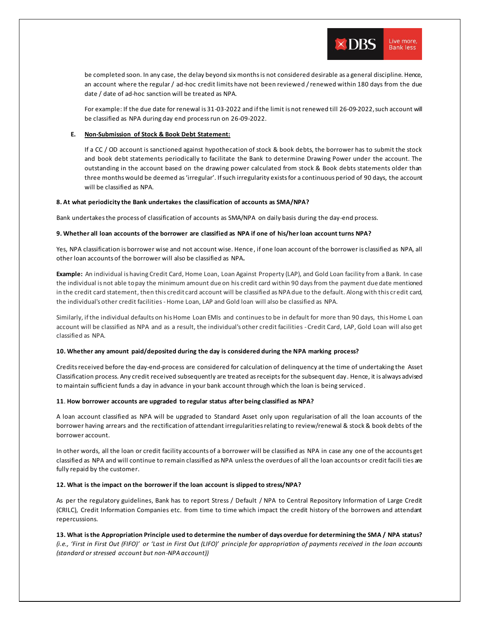be completed soon. In any case, the delay beyond six months is not considered desirable as a general discipline. Hence, an account where the regular / ad-hoc credit limits have not been reviewed / renewed within 180 days from the due date / date of ad-hoc sanction will be treated as NPA.

Live more,

**Bank less** 

 $\times$  DBS

For example: If the due date for renewal is 31-03-2022 and if the limit is not renewed till 26-09-2022, such account will be classified as NPA during day end process run on 26-09-2022.

### **E. Non-Submission of Stock & Book Debt Statement:**

If a CC / OD account is sanctioned against hypothecation of stock & book debts, the borrower has to submit the stock and book debt statements periodically to facilitate the Bank to determine Drawing Power under the account. The outstanding in the account based on the drawing power calculated from stock & Book debts statements older than three months would be deemed as 'irregular'. If such irregularity exists for a continuous period of 90 days, the account will be classified as NPA.

### **8. At what periodicity the Bank undertakes the classification of accounts as SMA/NPA?**

Bank undertakesthe process of classification of accounts as SMA/NPA on daily basis during the day-end process.

#### **9. Whether all loan accounts of the borrower are classified as NPA if one of his/her loan account turns NPA?**

Yes, NPA classification is borrower wise and not account wise. Hence , if one loan account of the borrower is classified as NPA, all other loan accounts of the borrower will also be classified as NPA**.** 

**Example:** An individual is having Credit Card, Home Loan, Loan Against Property (LAP), and Gold Loan facility from a Bank. In case the individual is not able to pay the minimum amount due on his credit card within 90 days from the payment due date mentioned in the credit card statement, then this credit card account will be classified as NPA due to the default. Along with this credit card, the individual's other credit facilities -Home Loan, LAP and Gold loan will also be classified as NPA.

Similarly, if the individual defaults on his Home Loan EMIs and continues to be in default for more than 90 days, this Home L oan account will be classified as NPA and as a result, the individual's other credit facilities - Credit Card, LAP, Gold Loan will also get classified as NPA.

### **10. Whether any amount paid/deposited during the day is considered during the NPA marking process?**

Credits received before the day-end-process are considered for calculation of delinquency at the time of undertaking the Asset Classification process. Any credit received subsequently are treated as receipts for the subsequent day . Hence, it is always advised to maintain sufficient funds a day in advance in your bank account through which the loan is being serviced *.*

### **11**. **How borrower accounts are upgraded to regular status after being classified as NPA?**

A loan account classified as NPA will be upgraded to Standard Asset only upon regularisation of all the loan accounts of the borrower having arrears and the rectification of attendant irregularities relating to review/renewal & stock & book debts of the borrower account.

In other words, all the loan or credit facility accounts of a borrower will be classified as NPA in case any one of the accounts get classified as NPA and will continue to remain classified as NPA unless the overdues of all the loan accounts or credit facili ties are fully repaid by the customer.

### **12. What is the impact on the borrower if the loan account is slipped to stress/NPA?**

As per the regulatory guidelines, Bank has to report Stress / Default / NPA to Central Repository Information of Large Credit (CRILC), Credit Information Companies etc. from time to time which impact the credit history of the borrowers and attendant repercussions.

**13. What is the Appropriation Principle used to determine the number of days overdue for determining the SMA / NPA status?**  *(i.e., 'First in First Out (FIFO)' or 'Last in First Out (LIFO)' principle for appropriation of payments received in the loan accounts (standard or stressed account but non-NPA account))*